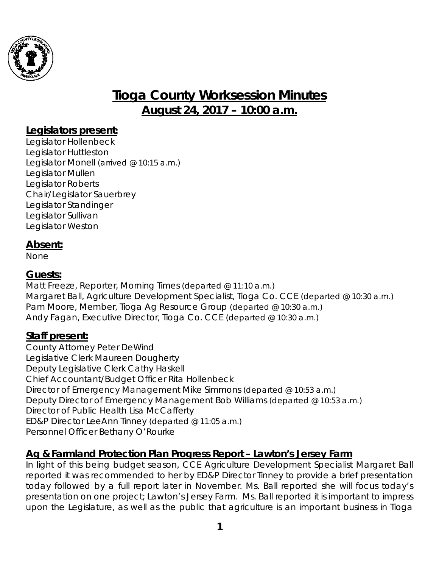

# **Tioga County Worksession Minutes August 24, 2017 – 10:00 a.m.**

## **Legislators present:**

Legislator Hollenbeck Legislator Huttleston Legislator Monell *(arrived @ 10:15 a.m.)* Legislator Mullen Legislator Roberts Chair/Legislator Sauerbrey Legislator Standinger Legislator Sullivan Legislator Weston

## **Absent:**

None

## **Guests:**

Matt Freeze, Reporter, Morning Times *(departed @ 11:10 a.m.)* Margaret Ball, Agriculture Development Specialist, Tioga Co. CCE *(departed @ 10:30 a.m.)* Pam Moore, Member, Tioga Ag Resource Group *(departed @ 10:30 a.m.)* Andy Fagan, Executive Director, Tioga Co. CCE *(departed @ 10:30 a.m.)*

## **Staff present:**

County Attorney Peter DeWind Legislative Clerk Maureen Dougherty Deputy Legislative Clerk Cathy Haskell Chief Accountant/Budget Officer Rita Hollenbeck Director of Emergency Management Mike Simmons (departed @ 10:53 a.m.) Deputy Director of Emergency Management Bob Williams *(departed @ 10:53 a.m.)* Director of Public Health Lisa McCafferty ED&P Director LeeAnn Tinney (departed @ 11:05 a.m.) Personnel Officer Bethany O'Rourke

## **Ag & Farmland Protection Plan Progress Report – Lawton's Jersey Farm**

In light of this being budget season, CCE Agriculture Development Specialist Margaret Ball reported it was recommended to her by ED&P Director Tinney to provide a brief presentation today followed by a full report later in November. Ms. Ball reported she will focus today's presentation on one project; Lawton's Jersey Farm. Ms. Ball reported it is important to impress upon the Legislature, as well as the public that agriculture is an important business in Tioga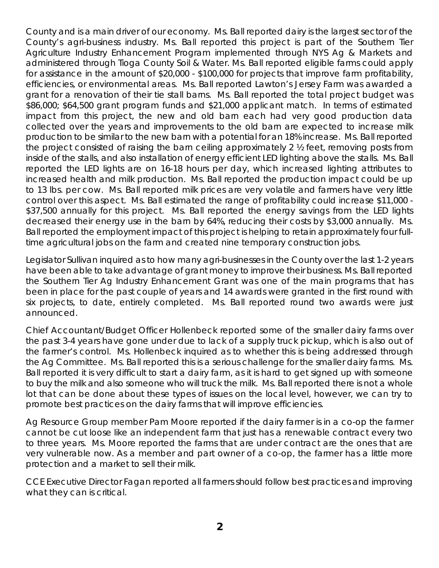County and is a main driver of our economy. Ms. Ball reported dairy is the largest sector of the County's agri-business industry. Ms. Ball reported this project is part of the Southern Tier Agriculture Industry Enhancement Program implemented through NYS Ag & Markets and administered through Tioga County Soil & Water. Ms. Ball reported eligible farms could apply for assistance in the amount of \$20,000 - \$100,000 for projects that improve farm profitability, efficiencies, or environmental areas. Ms. Ball reported Lawton's Jersey Farm was awarded a grant for a renovation of their tie stall barns. Ms. Ball reported the total project budget was \$86,000; \$64,500 grant program funds and \$21,000 applicant match. In terms of estimated impact from this project, the new and old barn each had very good production data collected over the years and improvements to the old barn are expected to increase milk production to be similar to the new barn with a potential for an 18% increase. Ms. Ball reported the project consisted of raising the barn ceiling approximately 2 ½ feet, removing posts from inside of the stalls, and also installation of energy efficient LED lighting above the stalls. Ms. Ball reported the LED lights are on 16-18 hours per day, which increased lighting attributes to increased health and milk production. Ms. Ball reported the production impact could be up to 13 lbs. per cow. Ms. Ball reported milk prices are very volatile and farmers have very little control over this aspect. Ms. Ball estimated the range of profitability could increase \$11,000 - \$37,500 annually for this project. Ms. Ball reported the energy savings from the LED lights decreased their energy use in the barn by 64%, reducing their costs by \$3,000 annually. Ms. Ball reported the employment impact of this project is helping to retain approximately four fulltime agricultural jobs on the farm and created nine temporary construction jobs.

Legislator Sullivan inquired as to how many agri-businesses in the County over the last 1-2 years have been able to take advantage of grant money to improve their business. Ms. Ball reported the Southern Tier Ag Industry Enhancement Grant was one of the main programs that has been in place for the past couple of years and 14 awards were granted in the first round with six projects, to date, entirely completed. Ms. Ball reported round two awards were just announced.

Chief Accountant/Budget Officer Hollenbeck reported some of the smaller dairy farms over the past 3-4 years have gone under due to lack of a supply truck pickup, which is also out of the farmer's control. Ms. Hollenbeck inquired as to whether this is being addressed through the Ag Committee. Ms. Ball reported this is a serious challenge for the smaller dairy farms. Ms. Ball reported it is very difficult to start a dairy farm, as it is hard to get signed up with someone to buy the milk and also someone who will truck the milk. Ms. Ball reported there is not a whole lot that can be done about these types of issues on the local level, however, we can try to promote best practices on the dairy farms that will improve efficiencies.

Ag Resource Group member Pam Moore reported if the dairy farmer is in a co-op the farmer cannot be cut loose like an independent farm that just has a renewable contract every two to three years. Ms. Moore reported the farms that are under contract are the ones that are very vulnerable now. As a member and part owner of a co-op, the farmer has a little more protection and a market to sell their milk.

CCE Executive Director Fagan reported all farmers should follow best practices and improving what they can is critical.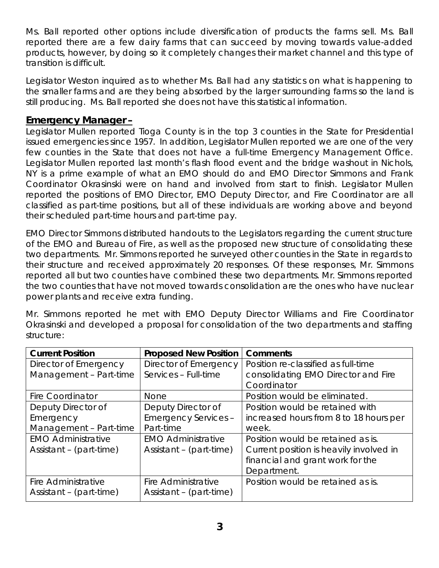Ms. Ball reported other options include diversification of products the farms sell. Ms. Ball reported there are a few dairy farms that can succeed by moving towards value-added products, however, by doing so it completely changes their market channel and this type of transition is difficult.

Legislator Weston inquired as to whether Ms. Ball had any statistics on what is happening to the smaller farms and are they being absorbed by the larger surrounding farms so the land is still producing. Ms. Ball reported she does not have this statistical information.

#### **Emergency Manager –**

Legislator Mullen reported Tioga County is in the top 3 counties in the State for Presidential issued emergencies since 1957. In addition, Legislator Mullen reported we are one of the very few counties in the State that does not have a full-time Emergency Management Office. Legislator Mullen reported last month's flash flood event and the bridge washout in Nichols, NY is a prime example of what an EMO should do and EMO Director Simmons and Frank Coordinator Okrasinski were on hand and involved from start to finish. Legislator Mullen reported the positions of EMO Director, EMO Deputy Director, and Fire Coordinator are all classified as part-time positions, but all of these individuals are working above and beyond their scheduled part-time hours and part-time pay.

EMO Director Simmons distributed handouts to the Legislators regarding the current structure of the EMO and Bureau of Fire, as well as the proposed new structure of consolidating these two departments. Mr. Simmons reported he surveyed other counties in the State in regards to their structure and received approximately 20 responses. Of these responses, Mr. Simmons reported all but two counties have combined these two departments. Mr. Simmons reported the two counties that have not moved towards consolidation are the ones who have nuclear power plants and receive extra funding.

Mr. Simmons reported he met with EMO Deputy Director Williams and Fire Coordinator Okrasinski and developed a proposal for consolidation of the two departments and staffing structure:

| <b>Current Position</b>   | <b>Proposed New Position</b> | <b>Comments</b>                         |  |
|---------------------------|------------------------------|-----------------------------------------|--|
| Director of Emergency     | Director of Emergency        | Position re-classified as full-time     |  |
| Management - Part-time    | Services - Full-time         | consolidating EMO Director and Fire     |  |
|                           |                              | Coordinator                             |  |
| <b>Fire Coordinator</b>   | <b>None</b>                  | Position would be eliminated.           |  |
| Deputy Director of        | Deputy Director of           | Position would be retained with         |  |
| Emergency                 | <b>Emergency Services -</b>  | increased hours from 8 to 18 hours per  |  |
| Management - Part-time    | Part-time                    | week.                                   |  |
| <b>EMO Administrative</b> | <b>EMO Administrative</b>    | Position would be retained as is.       |  |
| Assistant - (part-time)   | Assistant - (part-time)      | Current position is heavily involved in |  |
|                           |                              | financial and grant work for the        |  |
|                           |                              | Department.                             |  |
| Fire Administrative       | Fire Administrative          | Position would be retained as is.       |  |
| Assistant - (part-time)   | Assistant - (part-time)      |                                         |  |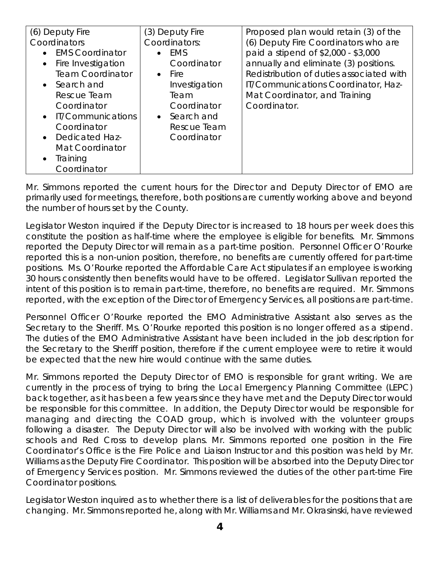| (6) Deputy Fire<br>Coordinators<br><b>EMS Coordinator</b><br>Fire Investigation<br><b>Team Coordinator</b><br>• Search and<br>Rescue Team<br>Coordinator<br>• IT/Communications<br>Coordinator | (3) Deputy Fire<br>Coordinators:<br>EMS<br>$\bullet$<br>Coordinator<br>$\bullet$ Fire<br>Investigation<br>Team<br>Coordinator<br>• Search and<br>Rescue Team | Proposed plan would retain (3) of the<br>(6) Deputy Fire Coordinators who are<br>paid a stipend of \$2,000 - \$3,000<br>annually and eliminate (3) positions.<br>Redistribution of duties associated with<br>IT/Communications Coordinator, Haz-<br>Mat Coordinator, and Training<br>Coordinator. |
|------------------------------------------------------------------------------------------------------------------------------------------------------------------------------------------------|--------------------------------------------------------------------------------------------------------------------------------------------------------------|---------------------------------------------------------------------------------------------------------------------------------------------------------------------------------------------------------------------------------------------------------------------------------------------------|
| • Dedicated Haz-                                                                                                                                                                               | Coordinator                                                                                                                                                  |                                                                                                                                                                                                                                                                                                   |
| Mat Coordinator<br>Training<br>Coordinator                                                                                                                                                     |                                                                                                                                                              |                                                                                                                                                                                                                                                                                                   |

Mr. Simmons reported the current hours for the Director and Deputy Director of EMO are primarily used for meetings, therefore, both positions are currently working above and beyond the number of hours set by the County.

Legislator Weston inquired if the Deputy Director is increased to 18 hours per week does this constitute the position as half-time where the employee is eligible for benefits. Mr. Simmons reported the Deputy Director will remain as a part-time position. Personnel Officer O'Rourke reported this is a non-union position, therefore, no benefits are currently offered for part-time positions. Ms. O'Rourke reported the Affordable Care Act stipulates if an employee is working 30 hours consistently then benefits would have to be offered. Legislator Sullivan reported the intent of this position is to remain part-time, therefore, no benefits are required. Mr. Simmons reported, with the exception of the Director of Emergency Services, all positions are part-time.

Personnel Officer O'Rourke reported the EMO Administrative Assistant also serves as the Secretary to the Sheriff. Ms. O'Rourke reported this position is no longer offered as a stipend. The duties of the EMO Administrative Assistant have been included in the job description for the Secretary to the Sheriff position, therefore if the current employee were to retire it would be expected that the new hire would continue with the same duties.

Mr. Simmons reported the Deputy Director of EMO is responsible for grant writing. We are currently in the process of trying to bring the Local Emergency Planning Committee (LEPC) back together, as it has been a few years since they have met and the Deputy Director would be responsible for this committee. In addition, the Deputy Director would be responsible for managing and directing the COAD group, which is involved with the volunteer groups following a disaster. The Deputy Director will also be involved with working with the public schools and Red Cross to develop plans. Mr. Simmons reported one position in the Fire Coordinator's Office is the Fire Police and Liaison Instructor and this position was held by Mr. Williams as the Deputy Fire Coordinator. This position will be absorbed into the Deputy Director of Emergency Services position. Mr. Simmons reviewed the duties of the other part-time Fire Coordinator positions.

Legislator Weston inquired as to whether there is a list of deliverables for the positions that are changing. Mr. Simmons reported he, along with Mr. Williams and Mr. Okrasinski, have reviewed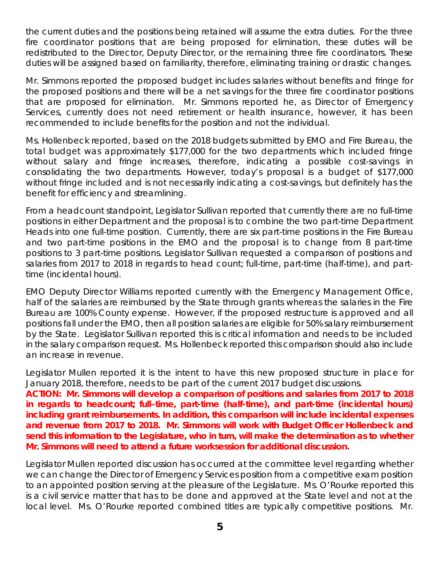the current duties and the positions being retained will assume the extra duties. For the three fire coordinator positions that are being proposed for elimination, these duties will be redistributed to the Director, Deputy Director, or the remaining three fire coordinators. These duties will be assigned based on familiarity, therefore, eliminating training or drastic changes.

Mr. Simmons reported the proposed budget includes salaries without benefits and fringe for the proposed positions and there will be a net savings for the three fire coordinator positions that are proposed for elimination. Mr. Simmons reported he, as Director of Emergency Services, currently does not need retirement or health insurance, however, it has been recommended to include benefits for the position and not the individual.

Ms. Hollenbeck reported, based on the 2018 budgets submitted by EMO and Fire Bureau, the total budget was approximately \$177,000 for the two departments which included fringe without salary and fringe increases, therefore, indicating a possible cost-savings in consolidating the two departments. However, today's proposal is a budget of \$177,000 without fringe included and is not necessarily indicating a cost-savings, but definitely has the benefit for efficiency and streamlining.

From a headcount standpoint, Legislator Sullivan reported that currently there are no full-time positions in either Department and the proposal is to combine the two part-time Department Heads into one full-time position. Currently, there are six part-time positions in the Fire Bureau and two part-time positions in the EMO and the proposal is to change from 8 part-time positions to 3 part-time positions. Legislator Sullivan requested a comparison of positions and salaries from 2017 to 2018 in regards to head count; full-time, part-time (half-time), and parttime (incidental hours).

EMO Deputy Director Williams reported currently with the Emergency Management Office, half of the salaries are reimbursed by the State through grants whereas the salaries in the Fire Bureau are 100% County expense. However, if the proposed restructure is approved and all positions fall under the EMO, then all position salaries are eligible for 50% salary reimbursement by the State. Legislator Sullivan reported this is critical information and needs to be included in the salary comparison request. Ms. Hollenbeck reported this comparison should also include an increase in revenue.

Legislator Mullen reported it is the intent to have this new proposed structure in place for January 2018, therefore, needs to be part of the current 2017 budget discussions.

**ACTION: Mr. Simmons will develop a comparison of positions and salaries from 2017 to 2018 in regards to headcount; full–time, part-time (half-time), and part-time (incidental hours) including grant reimbursements. In addition, this comparison will include incidental expenses and revenue from 2017 to 2018. Mr. Simmons will work with Budget Officer Hollenbeck and send this information to the Legislature, who in turn, will make the determination as to whether Mr. Simmons will need to attend a future worksession for additional discussion.** 

Legislator Mullen reported discussion has occurred at the committee level regarding whether we can change the Director of Emergency Services position from a competitive exam position to an appointed position serving at the pleasure of the Legislature. Ms. O'Rourke reported this is a civil service matter that has to be done and approved at the State level and not at the local level. Ms. O'Rourke reported combined titles are typically competitive positions. Mr.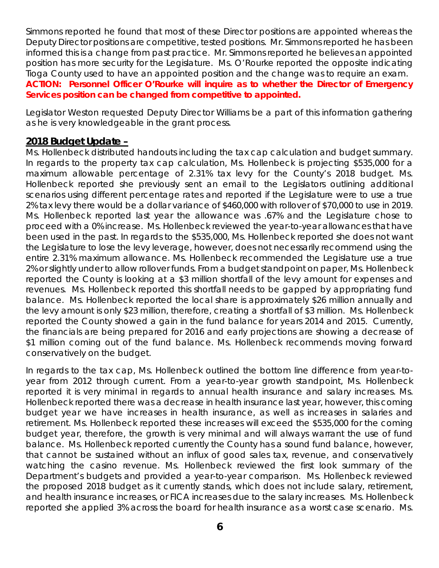Simmons reported he found that most of these Director positions are appointed whereas the Deputy Director positions are competitive, tested positions. Mr. Simmons reported he has been informed this is a change from past practice. Mr. Simmons reported he believes an appointed position has more security for the Legislature. Ms. O'Rourke reported the opposite indicating Tioga County used to have an appointed position and the change was to require an exam. **ACTION: Personnel Officer O'Rourke will inquire as to whether the Director of Emergency Services position can be changed from competitive to appointed.** 

Legislator Weston requested Deputy Director Williams be a part of this information gathering as he is very knowledgeable in the grant process.

#### **2018 Budget Update –**

Ms. Hollenbeck distributed handouts including the tax cap calculation and budget summary. In regards to the property tax cap calculation, Ms. Hollenbeck is projecting \$535,000 for a maximum allowable percentage of 2.31% tax levy for the County's 2018 budget. Ms. Hollenbeck reported she previously sent an email to the Legislators outlining additional scenarios using different percentage rates and reported if the Legislature were to use a true 2% tax levy there would be a dollar variance of \$460,000 with rollover of \$70,000 to use in 2019. Ms. Hollenbeck reported last year the allowance was .67% and the Legislature chose to proceed with a 0% increase. Ms. Hollenbeck reviewed the year-to-year allowances that have been used in the past. In regards to the \$535,000, Ms. Hollenbeck reported she does not want the Legislature to lose the levy leverage, however, does not necessarily recommend using the entire 2.31% maximum allowance. Ms. Hollenbeck recommended the Legislature use a true 2% or slightly under to allow rollover funds. From a budget standpoint on paper, Ms. Hollenbeck reported the County is looking at a \$3 million shortfall of the levy amount for expenses and revenues. Ms. Hollenbeck reported this shortfall needs to be gapped by appropriating fund balance. Ms. Hollenbeck reported the local share is approximately \$26 million annually and the levy amount is only \$23 million, therefore, creating a shortfall of \$3 million. Ms. Hollenbeck reported the County showed a gain in the fund balance for years 2014 and 2015. Currently, the financials are being prepared for 2016 and early projections are showing a decrease of \$1 million coming out of the fund balance. Ms. Hollenbeck recommends moving forward conservatively on the budget.

In regards to the tax cap, Ms. Hollenbeck outlined the bottom line difference from year-toyear from 2012 through current. From a year-to-year growth standpoint, Ms. Hollenbeck reported it is very minimal in regards to annual health insurance and salary increases. Ms. Hollenbeck reported there was a decrease in health insurance last year, however, this coming budget year we have increases in health insurance, as well as increases in salaries and retirement. Ms. Hollenbeck reported these increases will exceed the \$535,000 for the coming budget year, therefore, the growth is very minimal and will always warrant the use of fund balance. Ms. Hollenbeck reported currently the County has a sound fund balance, however, that cannot be sustained without an influx of good sales tax, revenue, and conservatively watching the casino revenue. Ms. Hollenbeck reviewed the first look summary of the Department's budgets and provided a year-to-year comparison. Ms. Hollenbeck reviewed the proposed 2018 budget as it currently stands, which does not include salary, retirement, and health insurance increases, or FICA increases due to the salary increases. Ms. Hollenbeck reported she applied 3% across the board for health insurance as a worst case scenario. Ms.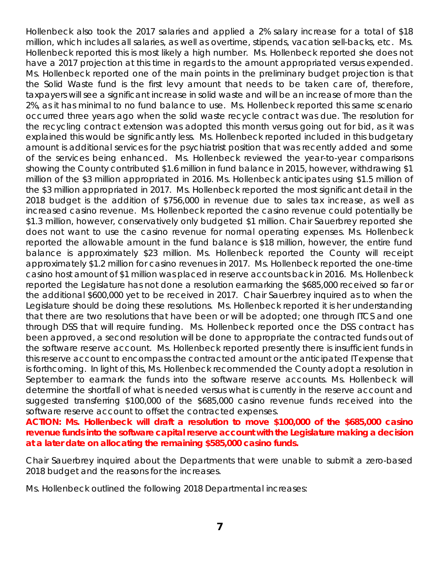Hollenbeck also took the 2017 salaries and applied a 2% salary increase for a total of \$18 million, which includes all salaries, as well as overtime, stipends, vacation sell-backs, etc. Ms. Hollenbeck reported this is most likely a high number. Ms. Hollenbeck reported she does not have a 2017 projection at this time in regards to the amount appropriated versus expended. Ms. Hollenbeck reported one of the main points in the preliminary budget projection is that the Solid Waste fund is the first levy amount that needs to be taken care of, therefore, taxpayers will see a significant increase in solid waste and will be an increase of more than the 2%, as it has minimal to no fund balance to use. Ms. Hollenbeck reported this same scenario occurred three years ago when the solid waste recycle contract was due. The resolution for the recycling contract extension was adopted this month versus going out for bid, as it was explained this would be significantly less. Ms. Hollenbeck reported included in this budgetary amount is additional services for the psychiatrist position that was recently added and some of the services being enhanced. Ms. Hollenbeck reviewed the year-to-year comparisons showing the County contributed \$1.6 million in fund balance in 2015, however, withdrawing \$1 million of the \$3 million appropriated in 2016. Ms. Hollenbeck anticipates using \$1.5 million of the \$3 million appropriated in 2017. Ms. Hollenbeck reported the most significant detail in the 2018 budget is the addition of \$756,000 in revenue due to sales tax increase, as well as increased casino revenue. Ms. Hollenbeck reported the casino revenue could potentially be \$1.3 million, however, conservatively only budgeted \$1 million. Chair Sauerbrey reported she does not want to use the casino revenue for normal operating expenses. Ms. Hollenbeck reported the allowable amount in the fund balance is \$18 million, however, the entire fund balance is approximately \$23 million. Ms. Hollenbeck reported the County will receipt approximately \$1.2 million for casino revenues in 2017. Ms. Hollenbeck reported the one-time casino host amount of \$1 million was placed in reserve accounts back in 2016. Ms. Hollenbeck reported the Legislature has not done a resolution earmarking the \$685,000 received so far or the additional \$600,000 yet to be received in 2017. Chair Sauerbrey inquired as to when the Legislature should be doing these resolutions. Ms. Hollenbeck reported it is her understanding that there are two resolutions that have been or will be adopted; one through ITCS and one through DSS that will require funding. Ms. Hollenbeck reported once the DSS contract has been approved, a second resolution will be done to appropriate the contracted funds out of the software reserve account. Ms. Hollenbeck reported presently there is insufficient funds in this reserve account to encompass the contracted amount or the anticipated IT expense that is forthcoming. In light of this, Ms. Hollenbeck recommended the County adopt a resolution in September to earmark the funds into the software reserve accounts. Ms. Hollenbeck will determine the shortfall of what is needed versus what is currently in the reserve account and suggested transferring \$100,000 of the \$685,000 casino revenue funds received into the software reserve account to offset the contracted expenses.

**ACTION: Ms. Hollenbeck will draft a resolution to move \$100,000 of the \$685,000 casino revenue funds into the software capital reserve account with the Legislature making a decision at a later date on allocating the remaining \$585,000 casino funds.** 

Chair Sauerbrey inquired about the Departments that were unable to submit a zero-based 2018 budget and the reasons for the increases.

Ms. Hollenbeck outlined the following 2018 Departmental increases: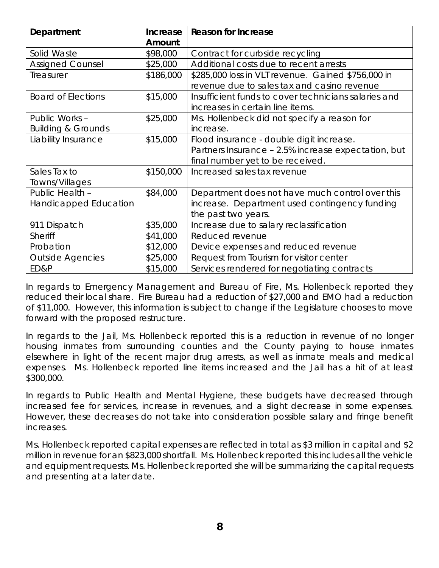| Department                                      | <b>Increase</b><br>Amount | <b>Reason for Increase</b>                                                                                                          |
|-------------------------------------------------|---------------------------|-------------------------------------------------------------------------------------------------------------------------------------|
| Solid Waste                                     | \$98,000                  | Contract for curbside recycling                                                                                                     |
| <b>Assigned Counsel</b>                         | \$25,000                  | Additional costs due to recent arrests                                                                                              |
| Treasurer                                       | \$186,000                 | \$285,000 loss in VLT revenue. Gained \$756,000 in<br>revenue due to sales tax and casino revenue                                   |
| <b>Board of Elections</b>                       | \$15,000                  | Insufficient funds to cover technicians salaries and<br>increases in certain line items.                                            |
| Public Works -<br><b>Building &amp; Grounds</b> | \$25,000                  | Ms. Hollenbeck did not specify a reason for<br>increase.                                                                            |
| Liability Insurance                             | \$15,000                  | Flood insurance - double digit increase.<br>Partners Insurance - 2.5% increase expectation, but<br>final number yet to be received. |
| Sales Tax to<br>Towns/Villages                  | \$150,000                 | Increased sales tax revenue                                                                                                         |
| Public Health -<br>Handicapped Education        | \$84,000                  | Department does not have much control over this<br>increase. Department used contingency funding<br>the past two years.             |
| 911 Dispatch                                    | \$35,000                  | Increase due to salary reclassification                                                                                             |
| <b>Sheriff</b>                                  | \$41,000                  | Reduced revenue                                                                                                                     |
| Probation                                       | \$12,000                  | Device expenses and reduced revenue                                                                                                 |
| <b>Outside Agencies</b>                         | \$25,000                  | Request from Tourism for visitor center                                                                                             |
| ED&P                                            | \$15,000                  | Services rendered for negotiating contracts                                                                                         |

In regards to Emergency Management and Bureau of Fire, Ms. Hollenbeck reported they reduced their local share. Fire Bureau had a reduction of \$27,000 and EMO had a reduction of \$11,000. However, this information is subject to change if the Legislature chooses to move forward with the proposed restructure.

In regards to the Jail, Ms. Hollenbeck reported this is a reduction in revenue of no longer housing inmates from surrounding counties and the County paying to house inmates elsewhere in light of the recent major drug arrests, as well as inmate meals and medical expenses. Ms. Hollenbeck reported line items increased and the Jail has a hit of at least \$300,000.

In regards to Public Health and Mental Hygiene, these budgets have decreased through increased fee for services, increase in revenues, and a slight decrease in some expenses. However, these decreases do not take into consideration possible salary and fringe benefit increases.

Ms. Hollenbeck reported capital expenses are reflected in total as \$3 million in capital and \$2 million in revenue for an \$823,000 shortfall. Ms. Hollenbeck reported this includes all the vehicle and equipment requests. Ms. Hollenbeck reported she will be summarizing the capital requests and presenting at a later date.